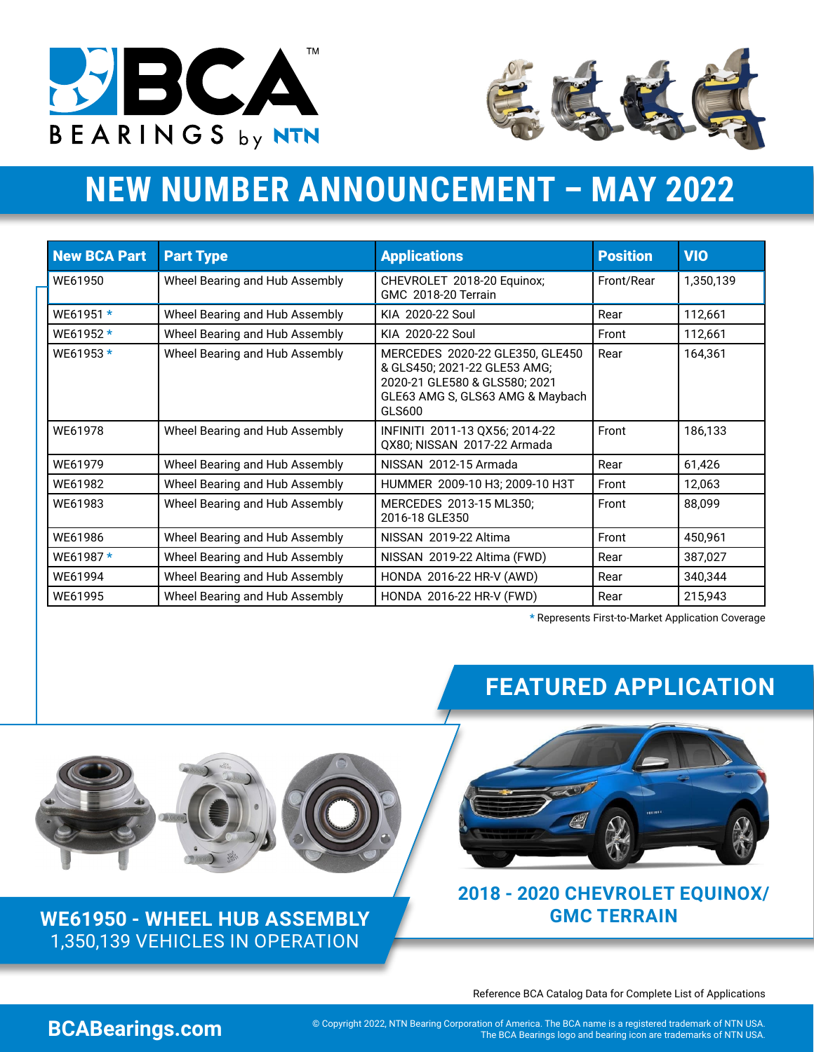



# **NEW NUMBER ANNOUNCEMENT – MAY 2022**

| <b>New BCA Part</b> | <b>Part Type</b>               | <b>Applications</b>                                                                                                                            | <b>Position</b> | <b>VIO</b> |
|---------------------|--------------------------------|------------------------------------------------------------------------------------------------------------------------------------------------|-----------------|------------|
| WE61950             | Wheel Bearing and Hub Assembly | CHEVROLET 2018-20 Equinox;<br>GMC 2018-20 Terrain                                                                                              | Front/Rear      | 1,350,139  |
| WE61951 *           | Wheel Bearing and Hub Assembly | KIA 2020-22 Soul                                                                                                                               | Rear            | 112,661    |
| WE61952 *           | Wheel Bearing and Hub Assembly | KIA 2020-22 Soul                                                                                                                               | Front           | 112,661    |
| WE61953 *           | Wheel Bearing and Hub Assembly | MERCEDES 2020-22 GLE350, GLE450<br>& GLS450; 2021-22 GLE53 AMG;<br>2020-21 GLE580 & GLS580; 2021<br>GLE63 AMG S, GLS63 AMG & Maybach<br>GLS600 | Rear            | 164,361    |
| WF61978             | Wheel Bearing and Hub Assembly | INFINITI 2011-13 QX56; 2014-22<br>QX80; NISSAN 2017-22 Armada                                                                                  | Front           | 186,133    |
| WF61979             | Wheel Bearing and Hub Assembly | NISSAN 2012-15 Armada                                                                                                                          | Rear            | 61,426     |
| WE61982             | Wheel Bearing and Hub Assembly | HUMMER 2009-10 H3; 2009-10 H3T                                                                                                                 | Front           | 12,063     |
| WE61983             | Wheel Bearing and Hub Assembly | MERCEDES 2013-15 ML350;<br>2016-18 GLE350                                                                                                      | Front           | 88,099     |
| WE61986             | Wheel Bearing and Hub Assembly | NISSAN 2019-22 Altima                                                                                                                          | Front           | 450,961    |
| WE61987*            | Wheel Bearing and Hub Assembly | NISSAN 2019-22 Altima (FWD)                                                                                                                    | Rear            | 387,027    |
| WE61994             | Wheel Bearing and Hub Assembly | HONDA 2016-22 HR-V (AWD)                                                                                                                       | Rear            | 340,344    |
| WE61995             | Wheel Bearing and Hub Assembly | HONDA 2016-22 HR-V (FWD)                                                                                                                       | Rear            | 215,943    |

\* Represents First-to-Market Application Coverage





**[WE61950 - WHEEL HUB ASSEMBLY](https://bcabearings.com/catalog/search/?partdetailfull=WE61950)** 1,350,139 VEHICLES IN OPERATION

# **FEATURED APPLICATION**



#### **2018 - 2020 CHEVROLET EQUINOX/ GMC TERRAIN**

Reference BCA Catalog Data for Complete List of Applications

COM Copyright 2022, NTN Bearing Corporation of America. The BCA name is a registered trademark of NTN USA. **BCAB**<br>The BCA Bearings logo and bearing icon are trademarks of NTN USA.